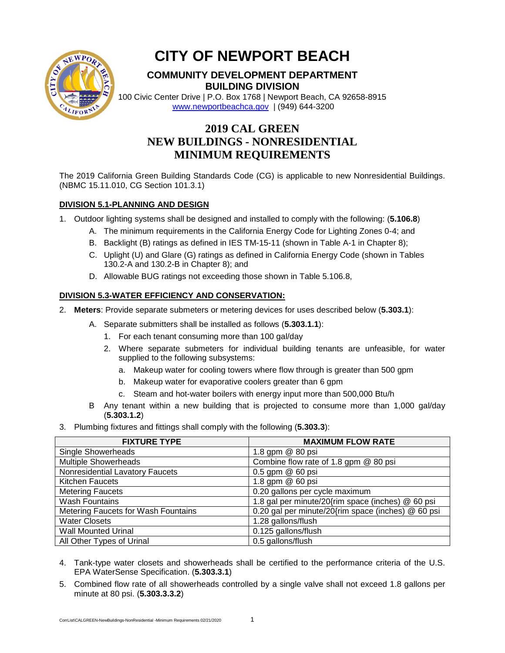

# **CITY OF NEWPORT BEACH**

# **COMMUNITY DEVELOPMENT DEPARTMENT BUILDING DIVISION**

100 Civic Center Drive | P.O. Box 1768 | Newport Beach, CA 92658-8915 [www.newportbeachca.gov](http://www.newportbeachca.gov/) | (949) 644-3200

# **2019 CAL GREEN NEW BUILDINGS - NONRESIDENTIAL MINIMUM REQUIREMENTS**

The 2019 California Green Building Standards Code (CG) is applicable to new Nonresidential Buildings. (NBMC 15.11.010, CG Section 101.3.1)

### **DIVISION 5.1-PLANNING AND DESIGN**

- 1. Outdoor lighting systems shall be designed and installed to comply with the following: (**5.106.8**)
	- A. The minimum requirements in the California Energy Code for Lighting Zones 0-4; and
	- B. Backlight (B) ratings as defined in IES TM-15-11 (shown in Table A-1 in Chapter 8);
	- C. Uplight (U) and Glare (G) ratings as defined in California Energy Code (shown in Tables 130.2-A and 130.2-B in Chapter 8); and
	- D. Allowable BUG ratings not exceeding those shown in Table 5.106.8,

## **DIVISION 5.3-WATER EFFICIENCY AND CONSERVATION:**

- 2. **Meters**: Provide separate submeters or metering devices for uses described below (**5.303.1**):
	- A. Separate submitters shall be installed as follows (**5.303.1.1**):
		- 1. For each tenant consuming more than 100 gal/day
		- 2. Where separate submeters for individual building tenants are unfeasible, for water supplied to the following subsystems:
			- a. Makeup water for cooling towers where flow through is greater than 500 gpm
			- b. Makeup water for evaporative coolers greater than 6 gpm
			- c. Steam and hot-water boilers with energy input more than 500,000 Btu/h
	- B Any tenant within a new building that is projected to consume more than 1,000 gal/day (**5.303.1.2**)
- 3. Plumbing fixtures and fittings shall comply with the following (**5.303.3**):

| <b>FIXTURE TYPE</b>                 | <b>MAXIMUM FLOW RATE</b>                           |
|-------------------------------------|----------------------------------------------------|
| Single Showerheads                  | 1.8 gpm @ 80 psi                                   |
| <b>Multiple Showerheads</b>         | Combine flow rate of 1.8 gpm @ 80 psi              |
| Nonresidential Lavatory Faucets     | 0.5 gpm @ 60 psi                                   |
| <b>Kitchen Faucets</b>              | 1.8 gpm @ 60 psi                                   |
| <b>Metering Faucets</b>             | 0.20 gallons per cycle maximum                     |
| <b>Wash Fountains</b>               | 1.8 gal per minute/20{rim space (inches) @ 60 psi  |
| Metering Faucets for Wash Fountains | 0.20 gal per minute/20{rim space (inches) @ 60 psi |
| <b>Water Closets</b>                | 1.28 gallons/flush                                 |
| <b>Wall Mounted Urinal</b>          | 0.125 gallons/flush                                |
| All Other Types of Urinal           | 0.5 gallons/flush                                  |

- 4. Tank-type water closets and showerheads shall be certified to the performance criteria of the U.S. EPA WaterSense Specification. (**5.303.3.1**)
- 5. Combined flow rate of all showerheads controlled by a single valve shall not exceed 1.8 gallons per minute at 80 psi. (**5.303.3.3.2**)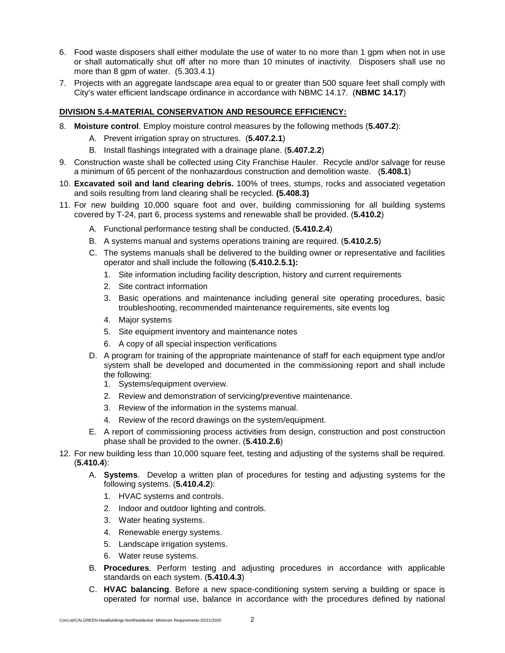- 6. Food waste disposers shall either modulate the use of water to no more than 1 gpm when not in use or shall automatically shut off after no more than 10 minutes of inactivity. Disposers shall use no more than 8 gpm of water. (5.303.4.1)
- 7. Projects with an aggregate landscape area equal to or greater than 500 square feet shall comply with City's water efficient landscape ordinance in accordance with NBMC 14.17. (**NBMC 14.17**)

#### **DIVISION 5.4-MATERIAL CONSERVATION AND RESOURCE EFFICIENCY:**

- 8. **Moisture control**. Employ moisture control measures by the following methods (**5.407.2**):
	- A. Prevent irrigation spray on structures. (**5.407.2.1**)
	- B. Install flashings integrated with a drainage plane. (**5.407.2.2**)
- 9. Construction waste shall be collected using City Franchise Hauler. Recycle and/or salvage for reuse a minimum of 65 percent of the nonhazardous construction and demolition waste. (**5.408.1**)
- 10. **Excavated soil and land clearing debris.** 100% of trees, stumps, rocks and associated vegetation and soils resulting from land clearing shall be recycled. **(5.408.3)**
- 11. For new building 10,000 square foot and over, building commissioning for all building systems covered by T-24, part 6, process systems and renewable shall be provided. (**5.410.2**)
	- A. Functional performance testing shall be conducted. (**5.410.2.4**)
	- B. A systems manual and systems operations training are required. (**5.410.2.5**)
	- C. The systems manuals shall be delivered to the building owner or representative and facilities operator and shall include the following (**5.410.2.5.1):**
		- 1. Site information including facility description, history and current requirements
		- 2. Site contract information
		- 3. Basic operations and maintenance including general site operating procedures, basic troubleshooting, recommended maintenance requirements, site events log
		- 4. Major systems
		- 5. Site equipment inventory and maintenance notes
		- 6. A copy of all special inspection verifications
	- D. A program for training of the appropriate maintenance of staff for each equipment type and/or system shall be developed and documented in the commissioning report and shall include the following:
		- 1. Systems/equipment overview.
		- 2. Review and demonstration of servicing/preventive maintenance.
		- 3. Review of the information in the systems manual.
		- 4. Review of the record drawings on the system/equipment.
	- E. A report of commissioning process activities from design, construction and post construction phase shall be provided to the owner. (**5.410.2.6**)
- 12. For new building less than 10,000 square feet, testing and adjusting of the systems shall be required. (**5.410.4**):
	- A. **Systems**. Develop a written plan of procedures for testing and adjusting systems for the following systems. (**5.410.4.2**):
		- 1. HVAC systems and controls.
		- 2. Indoor and outdoor lighting and controls.
		- 3. Water heating systems.
		- 4. Renewable energy systems.
		- 5. Landscape irrigation systems.
		- 6. Water reuse systems.
	- B. **Procedures**. Perform testing and adjusting procedures in accordance with applicable standards on each system. (**5.410.4.3**)
	- C. **HVAC balancing**. Before a new space-conditioning system serving a building or space is operated for normal use, balance in accordance with the procedures defined by national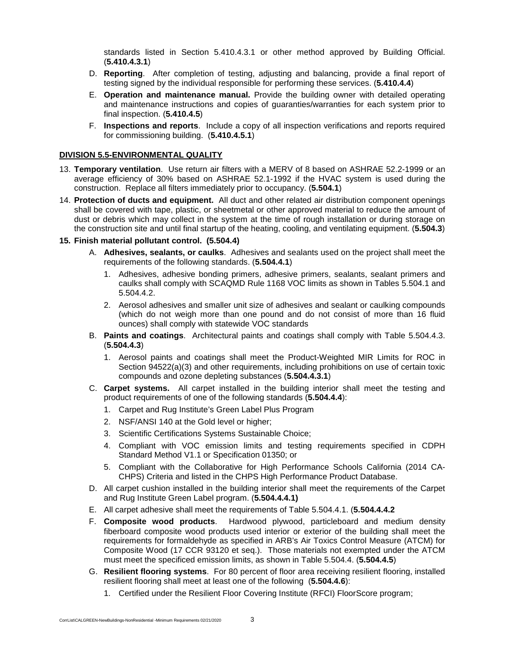standards listed in Section 5.410.4.3.1 or other method approved by Building Official. (**5.410.4.3.1**)

- D. **Reporting**. After completion of testing, adjusting and balancing, provide a final report of testing signed by the individual responsible for performing these services. (**5.410.4.4**)
- E. **Operation and maintenance manual.** Provide the building owner with detailed operating and maintenance instructions and copies of guaranties/warranties for each system prior to final inspection. (**5.410.4.5**)
- F. **Inspections and reports**. Include a copy of all inspection verifications and reports required for commissioning building. (**5.410.4.5.1**)

#### **DIVISION 5.5-ENVIRONMENTAL QUALITY**

- 13. **Temporary ventilation**. Use return air filters with a MERV of 8 based on ASHRAE 52.2-1999 or an average efficiency of 30% based on ASHRAE 52.1-1992 if the HVAC system is used during the construction. Replace all filters immediately prior to occupancy. (**5.504.1**)
- 14. **Protection of ducts and equipment.** All duct and other related air distribution component openings shall be covered with tape, plastic, or sheetmetal or other approved material to reduce the amount of dust or debris which may collect in the system at the time of rough installation or during storage on the construction site and until final startup of the heating, cooling, and ventilating equipment. (**5.504.3**)

#### **15. Finish material pollutant control. (5.504.4)**

- A. **Adhesives, sealants, or caulks**. Adhesives and sealants used on the project shall meet the requirements of the following standards. (**5.504.4.1**)
	- 1. Adhesives, adhesive bonding primers, adhesive primers, sealants, sealant primers and caulks shall comply with SCAQMD Rule 1168 VOC limits as shown in Tables 5.504.1 and 5.504.4.2.
	- 2. Aerosol adhesives and smaller unit size of adhesives and sealant or caulking compounds (which do not weigh more than one pound and do not consist of more than 16 fluid ounces) shall comply with statewide VOC standards
- B. **Paints and coatings**. Architectural paints and coatings shall comply with Table 5.504.4.3. (**5.504.4.3**)
	- 1. Aerosol paints and coatings shall meet the Product-Weighted MIR Limits for ROC in Section 94522(a)(3) and other requirements, including prohibitions on use of certain toxic compounds and ozone depleting substances (**5.504.4.3.1**)
- C. **Carpet systems.** All carpet installed in the building interior shall meet the testing and product requirements of one of the following standards (**5.504.4.4**):
	- 1. Carpet and Rug Institute's Green Label Plus Program
	- 2. NSF/ANSI 140 at the Gold level or higher;
	- 3. Scientific Certifications Systems Sustainable Choice;
	- 4. Compliant with VOC emission limits and testing requirements specified in CDPH Standard Method V1.1 or Specification 01350; or
	- 5. Compliant with the Collaborative for High Performance Schools California (2014 CA-CHPS) Criteria and listed in the CHPS High Performance Product Database.
- D. All carpet cushion installed in the building interior shall meet the requirements of the Carpet and Rug Institute Green Label program. (**5.504.4.4.1)**
- E. All carpet adhesive shall meet the requirements of Table 5.504.4.1. (**5.504.4.4.2**
- F. **Composite wood products**. Hardwood plywood, particleboard and medium density fiberboard composite wood products used interior or exterior of the building shall meet the requirements for formaldehyde as specified in ARB's Air Toxics Control Measure (ATCM) for Composite Wood (17 CCR 93120 et seq.). Those materials not exempted under the ATCM must meet the specificed emission limits, as shown in Table 5.504.4. (**5.504.4.5**)
- G. **Resilient flooring systems**. For 80 percent of floor area receiving resilient flooring, installed resilient flooring shall meet at least one of the following (**5.504.4.6**):
	- 1. Certified under the Resilient Floor Covering Institute (RFCI) FloorScore program;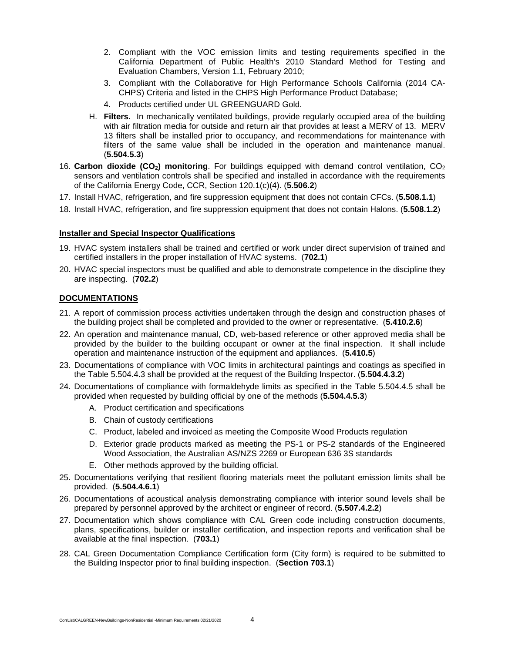- 2. Compliant with the VOC emission limits and testing requirements specified in the California Department of Public Health's 2010 Standard Method for Testing and Evaluation Chambers, Version 1.1, February 2010;
- 3. Compliant with the Collaborative for High Performance Schools California (2014 CA-CHPS) Criteria and listed in the CHPS High Performance Product Database;
- 4. Products certified under UL GREENGUARD Gold.
- H. **Filters.** In mechanically ventilated buildings, provide regularly occupied area of the building with air filtration media for outside and return air that provides at least a MERV of 13. MERV 13 filters shall be installed prior to occupancy, and recommendations for maintenance with filters of the same value shall be included in the operation and maintenance manual. (**5.504.5.3**)
- 16. **Carbon dioxide (CO2) monitoring**. For buildings equipped with demand control ventilation, CO2 sensors and ventilation controls shall be specified and installed in accordance with the requirements of the California Energy Code, CCR, Section 120.1(c)(4). (**5.506.2**)
- 17. Install HVAC, refrigeration, and fire suppression equipment that does not contain CFCs. (**5.508.1.1**)
- 18. Install HVAC, refrigeration, and fire suppression equipment that does not contain Halons. (**5.508.1.2**)

#### **Installer and Special Inspector Qualifications**

- 19. HVAC system installers shall be trained and certified or work under direct supervision of trained and certified installers in the proper installation of HVAC systems. (**702.1**)
- 20. HVAC special inspectors must be qualified and able to demonstrate competence in the discipline they are inspecting. (**702.2**)

#### **DOCUMENTATIONS**

- 21. A report of commission process activities undertaken through the design and construction phases of the building project shall be completed and provided to the owner or representative. (**5.410.2.6**)
- 22. An operation and maintenance manual, CD, web-based reference or other approved media shall be provided by the builder to the building occupant or owner at the final inspection. It shall include operation and maintenance instruction of the equipment and appliances. (**5.410.5**)
- 23. Documentations of compliance with VOC limits in architectural paintings and coatings as specified in the Table 5.504.4.3 shall be provided at the request of the Building Inspector. (**5.504.4.3.2**)
- 24. Documentations of compliance with formaldehyde limits as specified in the Table 5.504.4.5 shall be provided when requested by building official by one of the methods (**5.504.4.5.3**)
	- A. Product certification and specifications
	- B. Chain of custody certifications
	- C. Product, labeled and invoiced as meeting the Composite Wood Products regulation
	- D. Exterior grade products marked as meeting the PS-1 or PS-2 standards of the Engineered Wood Association, the Australian AS/NZS 2269 or European 636 3S standards
	- E. Other methods approved by the building official.
- 25. Documentations verifying that resilient flooring materials meet the pollutant emission limits shall be provided. (**5.504.4.6.1**)
- 26. Documentations of acoustical analysis demonstrating compliance with interior sound levels shall be prepared by personnel approved by the architect or engineer of record. (**5.507.4.2.2**)
- 27. Documentation which shows compliance with CAL Green code including construction documents, plans, specifications, builder or installer certification, and inspection reports and verification shall be available at the final inspection. (**703.1**)
- 28. CAL Green Documentation Compliance Certification form (City form) is required to be submitted to the Building Inspector prior to final building inspection. (**Section 703.1**)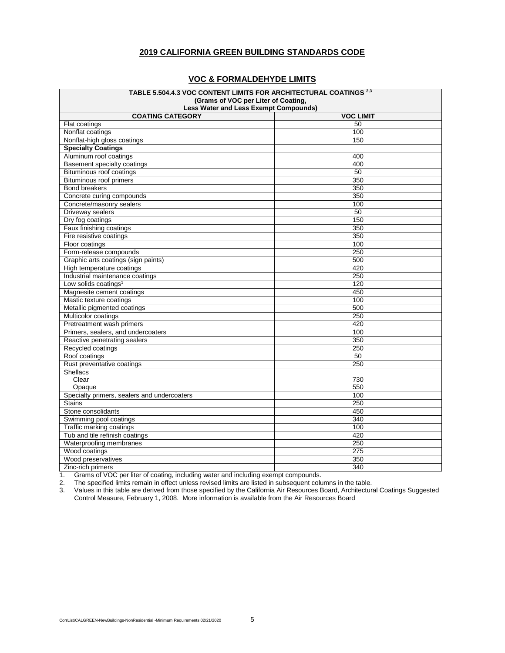#### **2019 CALIFORNIA GREEN BUILDING STANDARDS CODE**

#### **VOC & FORMALDEHYDE LIMITS**

| Less Water and Less Exempt Compounds)<br><b>COATING CATEGORY</b><br><b>VOC LIMIT</b><br>50<br>Flat coatings<br>Nonflat coatings<br>100<br>Nonflat-high gloss coatings<br>150<br><b>Specialty Coatings</b><br>Aluminum roof coatings<br>400<br>Basement specialty coatings<br>400<br>50<br>Bituminous roof coatings<br>350<br><b>Bituminous roof primers</b><br><b>Bond breakers</b><br>350<br>350<br>Concrete curing compounds<br>Concrete/masonry sealers<br>100<br>Driveway sealers<br>50<br>150<br>Dry fog coatings<br>350<br>Faux finishing coatings<br>350<br>Fire resistive coatings<br>Floor coatings<br>100<br>250<br>Form-release compounds<br>Graphic arts coatings (sign paints)<br>500<br>High temperature coatings<br>420<br>Industrial maintenance coatings<br>250<br>Low solids coatings <sup>1</sup><br>120<br>Magnesite cement coatings<br>450<br>Mastic texture coatings<br>100<br>500<br>Metallic pigmented coatings<br>Multicolor coatings<br>250<br>420<br>Pretreatment wash primers<br>Primers, sealers, and undercoaters<br>100<br>350<br>Reactive penetrating sealers<br>Recycled coatings<br>250<br>Roof coatings<br>50<br>Rust preventative coatings<br>250<br><b>Shellacs</b><br>Clear<br>730<br>550<br>Opaque<br>Specialty primers, sealers and undercoaters<br>100<br>250<br><b>Stains</b><br>Stone consolidants<br>450<br>Swimming pool coatings<br>340<br>Traffic marking coatings<br>100<br>Tub and tile refinish coatings<br>420<br>Waterproofing membranes<br>250<br>Wood coatings<br>275<br>Wood preservatives<br>350<br>$\overline{340}$ | TABLE 5.504.4.3 VOC CONTENT LIMITS FOR ARCHITECTURAL COATINGS 2,3 |  |  |
|------------------------------------------------------------------------------------------------------------------------------------------------------------------------------------------------------------------------------------------------------------------------------------------------------------------------------------------------------------------------------------------------------------------------------------------------------------------------------------------------------------------------------------------------------------------------------------------------------------------------------------------------------------------------------------------------------------------------------------------------------------------------------------------------------------------------------------------------------------------------------------------------------------------------------------------------------------------------------------------------------------------------------------------------------------------------------------------------------------------------------------------------------------------------------------------------------------------------------------------------------------------------------------------------------------------------------------------------------------------------------------------------------------------------------------------------------------------------------------------------------------------------------------------------------------------------------|-------------------------------------------------------------------|--|--|
|                                                                                                                                                                                                                                                                                                                                                                                                                                                                                                                                                                                                                                                                                                                                                                                                                                                                                                                                                                                                                                                                                                                                                                                                                                                                                                                                                                                                                                                                                                                                                                              | (Grams of VOC per Liter of Coating,                               |  |  |
|                                                                                                                                                                                                                                                                                                                                                                                                                                                                                                                                                                                                                                                                                                                                                                                                                                                                                                                                                                                                                                                                                                                                                                                                                                                                                                                                                                                                                                                                                                                                                                              |                                                                   |  |  |
|                                                                                                                                                                                                                                                                                                                                                                                                                                                                                                                                                                                                                                                                                                                                                                                                                                                                                                                                                                                                                                                                                                                                                                                                                                                                                                                                                                                                                                                                                                                                                                              |                                                                   |  |  |
|                                                                                                                                                                                                                                                                                                                                                                                                                                                                                                                                                                                                                                                                                                                                                                                                                                                                                                                                                                                                                                                                                                                                                                                                                                                                                                                                                                                                                                                                                                                                                                              |                                                                   |  |  |
|                                                                                                                                                                                                                                                                                                                                                                                                                                                                                                                                                                                                                                                                                                                                                                                                                                                                                                                                                                                                                                                                                                                                                                                                                                                                                                                                                                                                                                                                                                                                                                              |                                                                   |  |  |
|                                                                                                                                                                                                                                                                                                                                                                                                                                                                                                                                                                                                                                                                                                                                                                                                                                                                                                                                                                                                                                                                                                                                                                                                                                                                                                                                                                                                                                                                                                                                                                              |                                                                   |  |  |
|                                                                                                                                                                                                                                                                                                                                                                                                                                                                                                                                                                                                                                                                                                                                                                                                                                                                                                                                                                                                                                                                                                                                                                                                                                                                                                                                                                                                                                                                                                                                                                              |                                                                   |  |  |
|                                                                                                                                                                                                                                                                                                                                                                                                                                                                                                                                                                                                                                                                                                                                                                                                                                                                                                                                                                                                                                                                                                                                                                                                                                                                                                                                                                                                                                                                                                                                                                              |                                                                   |  |  |
|                                                                                                                                                                                                                                                                                                                                                                                                                                                                                                                                                                                                                                                                                                                                                                                                                                                                                                                                                                                                                                                                                                                                                                                                                                                                                                                                                                                                                                                                                                                                                                              |                                                                   |  |  |
|                                                                                                                                                                                                                                                                                                                                                                                                                                                                                                                                                                                                                                                                                                                                                                                                                                                                                                                                                                                                                                                                                                                                                                                                                                                                                                                                                                                                                                                                                                                                                                              |                                                                   |  |  |
|                                                                                                                                                                                                                                                                                                                                                                                                                                                                                                                                                                                                                                                                                                                                                                                                                                                                                                                                                                                                                                                                                                                                                                                                                                                                                                                                                                                                                                                                                                                                                                              |                                                                   |  |  |
|                                                                                                                                                                                                                                                                                                                                                                                                                                                                                                                                                                                                                                                                                                                                                                                                                                                                                                                                                                                                                                                                                                                                                                                                                                                                                                                                                                                                                                                                                                                                                                              |                                                                   |  |  |
|                                                                                                                                                                                                                                                                                                                                                                                                                                                                                                                                                                                                                                                                                                                                                                                                                                                                                                                                                                                                                                                                                                                                                                                                                                                                                                                                                                                                                                                                                                                                                                              |                                                                   |  |  |
|                                                                                                                                                                                                                                                                                                                                                                                                                                                                                                                                                                                                                                                                                                                                                                                                                                                                                                                                                                                                                                                                                                                                                                                                                                                                                                                                                                                                                                                                                                                                                                              |                                                                   |  |  |
|                                                                                                                                                                                                                                                                                                                                                                                                                                                                                                                                                                                                                                                                                                                                                                                                                                                                                                                                                                                                                                                                                                                                                                                                                                                                                                                                                                                                                                                                                                                                                                              |                                                                   |  |  |
|                                                                                                                                                                                                                                                                                                                                                                                                                                                                                                                                                                                                                                                                                                                                                                                                                                                                                                                                                                                                                                                                                                                                                                                                                                                                                                                                                                                                                                                                                                                                                                              |                                                                   |  |  |
|                                                                                                                                                                                                                                                                                                                                                                                                                                                                                                                                                                                                                                                                                                                                                                                                                                                                                                                                                                                                                                                                                                                                                                                                                                                                                                                                                                                                                                                                                                                                                                              |                                                                   |  |  |
|                                                                                                                                                                                                                                                                                                                                                                                                                                                                                                                                                                                                                                                                                                                                                                                                                                                                                                                                                                                                                                                                                                                                                                                                                                                                                                                                                                                                                                                                                                                                                                              |                                                                   |  |  |
|                                                                                                                                                                                                                                                                                                                                                                                                                                                                                                                                                                                                                                                                                                                                                                                                                                                                                                                                                                                                                                                                                                                                                                                                                                                                                                                                                                                                                                                                                                                                                                              |                                                                   |  |  |
|                                                                                                                                                                                                                                                                                                                                                                                                                                                                                                                                                                                                                                                                                                                                                                                                                                                                                                                                                                                                                                                                                                                                                                                                                                                                                                                                                                                                                                                                                                                                                                              |                                                                   |  |  |
|                                                                                                                                                                                                                                                                                                                                                                                                                                                                                                                                                                                                                                                                                                                                                                                                                                                                                                                                                                                                                                                                                                                                                                                                                                                                                                                                                                                                                                                                                                                                                                              |                                                                   |  |  |
|                                                                                                                                                                                                                                                                                                                                                                                                                                                                                                                                                                                                                                                                                                                                                                                                                                                                                                                                                                                                                                                                                                                                                                                                                                                                                                                                                                                                                                                                                                                                                                              |                                                                   |  |  |
|                                                                                                                                                                                                                                                                                                                                                                                                                                                                                                                                                                                                                                                                                                                                                                                                                                                                                                                                                                                                                                                                                                                                                                                                                                                                                                                                                                                                                                                                                                                                                                              |                                                                   |  |  |
|                                                                                                                                                                                                                                                                                                                                                                                                                                                                                                                                                                                                                                                                                                                                                                                                                                                                                                                                                                                                                                                                                                                                                                                                                                                                                                                                                                                                                                                                                                                                                                              |                                                                   |  |  |
|                                                                                                                                                                                                                                                                                                                                                                                                                                                                                                                                                                                                                                                                                                                                                                                                                                                                                                                                                                                                                                                                                                                                                                                                                                                                                                                                                                                                                                                                                                                                                                              |                                                                   |  |  |
|                                                                                                                                                                                                                                                                                                                                                                                                                                                                                                                                                                                                                                                                                                                                                                                                                                                                                                                                                                                                                                                                                                                                                                                                                                                                                                                                                                                                                                                                                                                                                                              |                                                                   |  |  |
|                                                                                                                                                                                                                                                                                                                                                                                                                                                                                                                                                                                                                                                                                                                                                                                                                                                                                                                                                                                                                                                                                                                                                                                                                                                                                                                                                                                                                                                                                                                                                                              |                                                                   |  |  |
|                                                                                                                                                                                                                                                                                                                                                                                                                                                                                                                                                                                                                                                                                                                                                                                                                                                                                                                                                                                                                                                                                                                                                                                                                                                                                                                                                                                                                                                                                                                                                                              |                                                                   |  |  |
|                                                                                                                                                                                                                                                                                                                                                                                                                                                                                                                                                                                                                                                                                                                                                                                                                                                                                                                                                                                                                                                                                                                                                                                                                                                                                                                                                                                                                                                                                                                                                                              |                                                                   |  |  |
|                                                                                                                                                                                                                                                                                                                                                                                                                                                                                                                                                                                                                                                                                                                                                                                                                                                                                                                                                                                                                                                                                                                                                                                                                                                                                                                                                                                                                                                                                                                                                                              |                                                                   |  |  |
|                                                                                                                                                                                                                                                                                                                                                                                                                                                                                                                                                                                                                                                                                                                                                                                                                                                                                                                                                                                                                                                                                                                                                                                                                                                                                                                                                                                                                                                                                                                                                                              |                                                                   |  |  |
|                                                                                                                                                                                                                                                                                                                                                                                                                                                                                                                                                                                                                                                                                                                                                                                                                                                                                                                                                                                                                                                                                                                                                                                                                                                                                                                                                                                                                                                                                                                                                                              |                                                                   |  |  |
|                                                                                                                                                                                                                                                                                                                                                                                                                                                                                                                                                                                                                                                                                                                                                                                                                                                                                                                                                                                                                                                                                                                                                                                                                                                                                                                                                                                                                                                                                                                                                                              |                                                                   |  |  |
|                                                                                                                                                                                                                                                                                                                                                                                                                                                                                                                                                                                                                                                                                                                                                                                                                                                                                                                                                                                                                                                                                                                                                                                                                                                                                                                                                                                                                                                                                                                                                                              |                                                                   |  |  |
|                                                                                                                                                                                                                                                                                                                                                                                                                                                                                                                                                                                                                                                                                                                                                                                                                                                                                                                                                                                                                                                                                                                                                                                                                                                                                                                                                                                                                                                                                                                                                                              |                                                                   |  |  |
|                                                                                                                                                                                                                                                                                                                                                                                                                                                                                                                                                                                                                                                                                                                                                                                                                                                                                                                                                                                                                                                                                                                                                                                                                                                                                                                                                                                                                                                                                                                                                                              |                                                                   |  |  |
|                                                                                                                                                                                                                                                                                                                                                                                                                                                                                                                                                                                                                                                                                                                                                                                                                                                                                                                                                                                                                                                                                                                                                                                                                                                                                                                                                                                                                                                                                                                                                                              |                                                                   |  |  |
|                                                                                                                                                                                                                                                                                                                                                                                                                                                                                                                                                                                                                                                                                                                                                                                                                                                                                                                                                                                                                                                                                                                                                                                                                                                                                                                                                                                                                                                                                                                                                                              |                                                                   |  |  |
|                                                                                                                                                                                                                                                                                                                                                                                                                                                                                                                                                                                                                                                                                                                                                                                                                                                                                                                                                                                                                                                                                                                                                                                                                                                                                                                                                                                                                                                                                                                                                                              |                                                                   |  |  |
|                                                                                                                                                                                                                                                                                                                                                                                                                                                                                                                                                                                                                                                                                                                                                                                                                                                                                                                                                                                                                                                                                                                                                                                                                                                                                                                                                                                                                                                                                                                                                                              |                                                                   |  |  |
|                                                                                                                                                                                                                                                                                                                                                                                                                                                                                                                                                                                                                                                                                                                                                                                                                                                                                                                                                                                                                                                                                                                                                                                                                                                                                                                                                                                                                                                                                                                                                                              |                                                                   |  |  |
|                                                                                                                                                                                                                                                                                                                                                                                                                                                                                                                                                                                                                                                                                                                                                                                                                                                                                                                                                                                                                                                                                                                                                                                                                                                                                                                                                                                                                                                                                                                                                                              |                                                                   |  |  |
|                                                                                                                                                                                                                                                                                                                                                                                                                                                                                                                                                                                                                                                                                                                                                                                                                                                                                                                                                                                                                                                                                                                                                                                                                                                                                                                                                                                                                                                                                                                                                                              |                                                                   |  |  |
|                                                                                                                                                                                                                                                                                                                                                                                                                                                                                                                                                                                                                                                                                                                                                                                                                                                                                                                                                                                                                                                                                                                                                                                                                                                                                                                                                                                                                                                                                                                                                                              |                                                                   |  |  |
|                                                                                                                                                                                                                                                                                                                                                                                                                                                                                                                                                                                                                                                                                                                                                                                                                                                                                                                                                                                                                                                                                                                                                                                                                                                                                                                                                                                                                                                                                                                                                                              |                                                                   |  |  |
|                                                                                                                                                                                                                                                                                                                                                                                                                                                                                                                                                                                                                                                                                                                                                                                                                                                                                                                                                                                                                                                                                                                                                                                                                                                                                                                                                                                                                                                                                                                                                                              |                                                                   |  |  |
|                                                                                                                                                                                                                                                                                                                                                                                                                                                                                                                                                                                                                                                                                                                                                                                                                                                                                                                                                                                                                                                                                                                                                                                                                                                                                                                                                                                                                                                                                                                                                                              | Zinc-rich primers                                                 |  |  |

1. Grams of VOC per liter of coating, including water and including exempt compounds.

2. The specified limits remain in effect unless revised limits are listed in subsequent columns in the table.

3. Values in this table are derived from those specified by the California Air Resources Board, Architectural Coatings Suggested Control Measure, February 1, 2008. More information is available from the Air Resources Board